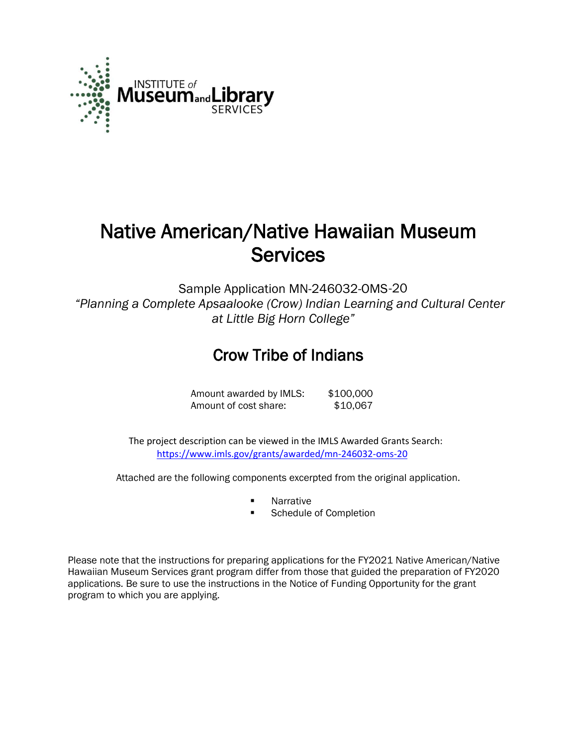

# Native American/Native Hawaiian Museum **Services**

Sample Application MN-246032-OMS -20*"Planning a Complete Apsaalooke (Crow) Indian Learning and Cultural Center at Little Big Horn College"* 

## Crow Tribe of Indians

Amount awarded by IMLS: \$100,000 Amount of cost share: \$10,067

 The project description can be viewed in the IMLS Awarded Grants Search: <https://www.imls.gov/grants/awarded/mn-246032-oms-20>

Attached are the following components excerpted from the original application.

- Narrative
- Schedule of Completion

Please note that the instructions for preparing applications for the FY2021 Native American/Native Hawaiian Museum Services grant program differ from those that guided the preparation of FY2020 applications. Be sure to use the instructions in the Notice of Funding Opportunity for the grant program to which you are applying.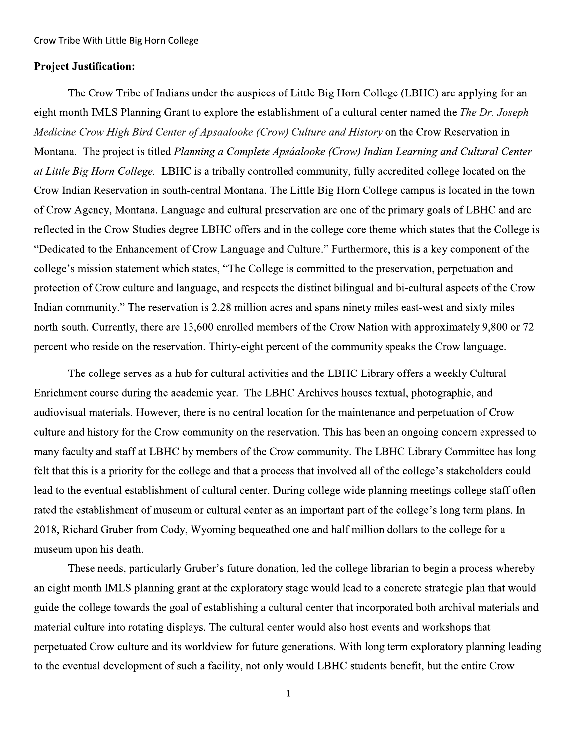## **Project Justification:**

The Crow Tribe of Indians under the auspices of Little Big Horn College (LBHC) are applying for an eight month IMLS Planning Grant to explore the establishment of a cultural center named the The Dr. Joseph Medicine Crow High Bird Center of Apsaalooke (Crow) Culture and History on the Crow Reservation in Montana. The project is titled Planning a Complete Apsáalooke (Crow) Indian Learning and Cultural Center at Little Big Horn College. LBHC is a tribally controlled community, fully accredited college located on the Crow Indian Reservation in south-central Montana. The Little Big Horn College campus is located in the town of Crow Agency, Montana. Language and cultural preservation are one of the primary goals of LBHC and are reflected in the Crow Studies degree LBHC offers and in the college core theme which states that the College is "Dedicated to the Enhancement of Crow Language and Culture." Furthermore, this is a key component of the college's mission statement which states, "The College is committed to the preservation, perpetuation and protection of Crow culture and language, and respects the distinct bilingual and bi-cultural aspects of the Crow Indian community." The reservation is 2.28 million acres and spans ninety miles east-west and sixty miles north-south. Currently, there are 13,600 enrolled members of the Crow Nation with approximately 9,800 or 72 percent who reside on the reservation. Thirty-eight percent of the community speaks the Crow language.

The college serves as a hub for cultural activities and the LBHC Library offers a weekly Cultural Enrichment course during the academic year. The LBHC Archives houses textual, photographic, and audiovisual materials. However, there is no central location for the maintenance and perpetuation of Crow culture and history for the Crow community on the reservation. This has been an ongoing concern expressed to many faculty and staff at LBHC by members of the Crow community. The LBHC Library Committee has long felt that this is a priority for the college and that a process that involved all of the college's stakeholders could lead to the eventual establishment of cultural center. During college wide planning meetings college staff often rated the establishment of museum or cultural center as an important part of the college's long term plans. In 2018, Richard Gruber from Cody, Wyoming bequeathed one and half million dollars to the college for a museum upon his death.

These needs, particularly Gruber's future donation, led the college librarian to begin a process whereby an eight month IMLS planning grant at the exploratory stage would lead to a concrete strategic plan that would guide the college towards the goal of establishing a cultural center that incorporated both archival materials and material culture into rotating displays. The cultural center would also host events and workshops that perpetuated Crow culture and its worldview for future generations. With long term exploratory planning leading to the eventual development of such a facility, not only would LBHC students benefit, but the entire Crow

 $\mathbf{1}$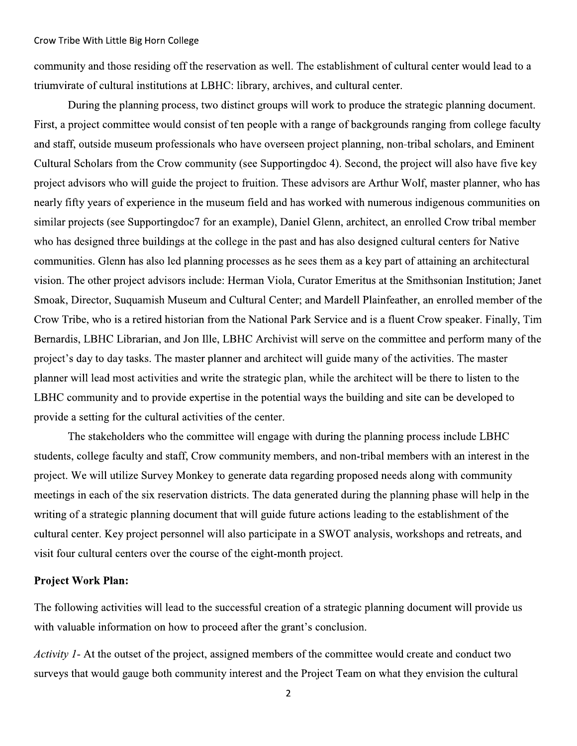community and those residing off the reservation as well. The establishment of cultural center would lead to a triumvirate of cultural institutions at LBHC: library, archives, and cultural center.

During the planning process, two distinct groups will work to produce the strategic planning document. First, a project committee would consist of ten people with a range of backgrounds ranging from college faculty and staff, outside museum professionals who have overseen project planning, non-tribal scholars, and Eminent Cultural Scholars from the Crow community (see Supportingdoc 4). Second, the project will also have five key project advisors who will guide the project to fruition. These advisors are Arthur Wolf, master planner, who has nearly fifty years of experience in the museum field and has worked with numerous indigenous communities on similar projects (see Supportingdoc7 for an example), Daniel Glenn, architect, an enrolled Crow tribal member who has designed three buildings at the college in the past and has also designed cultural centers for Native communities. Glenn has also led planning processes as he sees them as a key part of attaining an architectural vision. The other project advisors include: Herman Viola, Curator Emeritus at the Smithsonian Institution; Janet Smoak, Director, Suquamish Museum and Cultural Center; and Mardell Plainfeather, an enrolled member of the Crow Tribe, who is a retired historian from the National Park Service and is a fluent Crow speaker. Finally, Tim Bernardis, LBHC Librarian, and Jon Ille, LBHC Archivist will serve on the committee and perform many of the project's day to day tasks. The master planner and architect will guide many of the activities. The master planner will lead most activities and write the strategic plan, while the architect will be there to listen to the LBHC community and to provide expertise in the potential ways the building and site can be developed to provide a setting for the cultural activities of the center.

The stakeholders who the committee will engage with during the planning process include LBHC students, college faculty and staff, Crow community members, and non-tribal members with an interest in the project. We will utilize Survey Monkey to generate data regarding proposed needs along with community meetings in each of the six reservation districts. The data generated during the planning phase will help in the writing of a strategic planning document that will guide future actions leading to the establishment of the cultural center. Key project personnel will also participate in a SWOT analysis, workshops and retreats, and visit four cultural centers over the course of the eight-month project.

## **Project Work Plan:**

The following activities will lead to the successful creation of a strategic planning document will provide us with valuable information on how to proceed after the grant's conclusion.

Activity 1- At the outset of the project, assigned members of the committee would create and conduct two surveys that would gauge both community interest and the Project Team on what they envision the cultural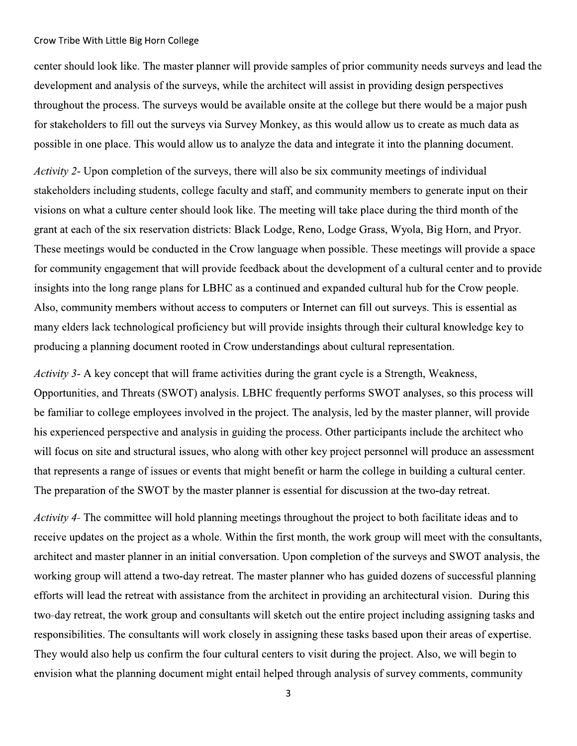center should look like. The master planner will provide samples of prior community needs surveys and lead the development and analysis of the surveys, while the architect will assist in providing design perspectives throughout the process. The surveys would be available onsite at the college but there would be a major push for stakeholders to fill out the surveys via Survey Monkey, as this would allow us to create as much data as possible in one place. This would allow us to analyze the data and integrate it into the planning document.

Activity 2- Upon completion of the surveys, there will also be six community meetings of individual stakeholders including students, college faculty and staff, and community members to generate input on their visions on what a culture center should look like. The meeting will take place during the third month of the grant at each of the six reservation districts: Black Lodge, Reno, Lodge Grass, Wyola, Big Horn, and Pryor. These meetings would be conducted in the Crow language when possible. These meetings will provide a space for community engagement that will provide feedback about the development of a cultural center and to provide insights into the long range plans for LBHC as a continued and expanded cultural hub for the Crow people. Also, community members without access to computers or Internet can fill out surveys. This is essential as many elders lack technological proficiency but will provide insights through their cultural knowledge key to producing a planning document rooted in Crow understandings about cultural representation.

*Activity 3*- A key concept that will frame activities during the grant cycle is a Strength, Weakness, Opportunities, and Threats (SWOT) analysis. LBHC frequently performs SWOT analyses, so this process will be familiar to college employees involved in the project. The analysis, led by the master planner, will provide his experienced perspective and analysis in guiding the process. Other participants include the architect who will focus on site and structural issues, who along with other key project personnel will produce an assessment that represents a range of issues or events that might benefit or harm the college in building a cultural center. The preparation of the SWOT by the master planner is essential for discussion at the two-day retreat.

*Activity 4*- The committee will hold planning meetings throughout the project to both facilitate ideas and to receive updates on the project as a whole. Within the first month, the work group will meet with the consultants, architect and master planner in an initial conversation. Upon completion of the surveys and SWOT analysis, the working group will attend a two-day retreat. The master planner who has guided dozens of successful planning efforts will lead the retreat with assistance from the architect in providing an architectural vision. During this two-day retreat, the work group and consultants will sketch out the entire project including assigning tasks and responsibilities. The consultants will work closely in assigning these tasks based upon their areas of expertise. They would also help us confirm the four cultural centers to visit during the project. Also, we will begin to envision what the planning document might entail helped through analysis of survey comments, community

 $\overline{3}$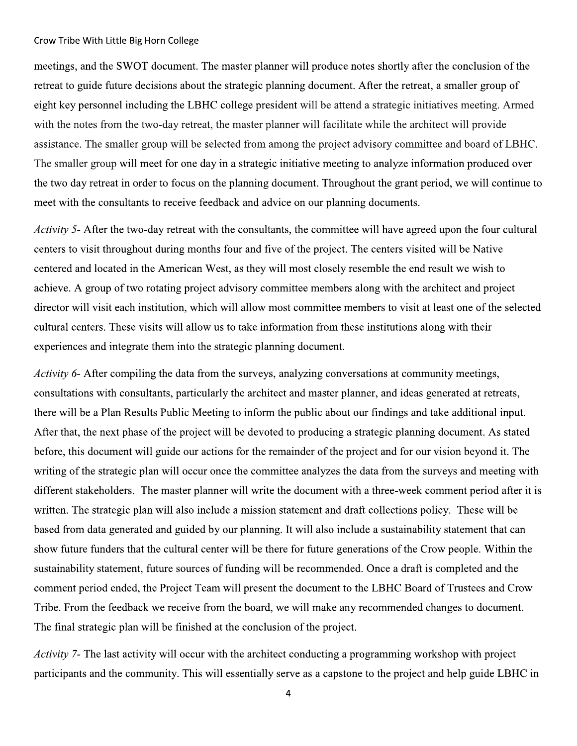meetings, and the SWOT document. The master planner will produce notes shortly after the conclusion of the retreat to guide future decisions about the strategic planning document. After the retreat, a smaller group of eight key personnel including the LBHC college president will be attend a strategic initiatives meeting. Armed with the notes from the two-day retreat, the master planner will facilitate while the architect will provide assistance. The smaller group will be selected from among the project advisory committee and board of LBHC. The smaller group will meet for one day in a strategic initiative meeting to analyze information produced over the two day retreat in order to focus on the planning document. Throughout the grant period, we will continue to meet with the consultants to receive feedback and advice on our planning documents.

Activity 5- After the two-day retreat with the consultants, the committee will have agreed upon the four cultural centers to visit throughout during months four and five of the project. The centers visited will be Native centered and located in the American West, as they will most closely resemble the end result we wish to achieve. A group of two rotating project advisory committee members along with the architect and project director will visit each institution, which will allow most committee members to visit at least one of the selected cultural centers. These visits will allow us to take information from these institutions along with their experiences and integrate them into the strategic planning document.

*Activity 6*- After compiling the data from the surveys, analyzing conversations at community meetings, consultations with consultants, particularly the architect and master planner, and ideas generated at retreats, there will be a Plan Results Public Meeting to inform the public about our findings and take additional input. After that, the next phase of the project will be devoted to producing a strategic planning document. As stated before, this document will guide our actions for the remainder of the project and for our vision beyond it. The writing of the strategic plan will occur once the committee analyzes the data from the surveys and meeting with different stakeholders. The master planner will write the document with a three-week comment period after it is written. The strategic plan will also include a mission statement and draft collections policy. These will be based from data generated and guided by our planning. It will also include a sustainability statement that can show future funders that the cultural center will be there for future generations of the Crow people. Within the sustainability statement, future sources of funding will be recommended. Once a draft is completed and the comment period ended, the Project Team will present the document to the LBHC Board of Trustees and Crow Tribe. From the feedback we receive from the board, we will make any recommended changes to document. The final strategic plan will be finished at the conclusion of the project.

*Activity* 7- The last activity will occur with the architect conducting a programming workshop with project participants and the community. This will essentially serve as a capstone to the project and help guide LBHC in

 $\overline{4}$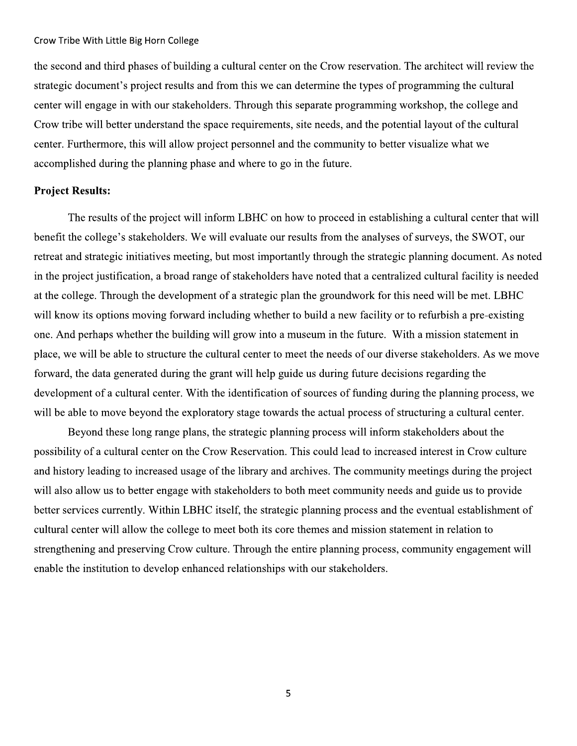the second and third phases of building a cultural center on the Crow reservation. The architect will review the strategic document's project results and from this we can determine the types of programming the cultural center will engage in with our stakeholders. Through this separate programming workshop, the college and Crow tribe will better understand the space requirements, site needs, and the potential layout of the cultural center. Furthermore, this will allow project personnel and the community to better visualize what we accomplished during the planning phase and where to go in the future.

## **Project Results:**

The results of the project will inform LBHC on how to proceed in establishing a cultural center that will benefit the college's stakeholders. We will evaluate our results from the analyses of surveys, the SWOT, our retreat and strategic initiatives meeting, but most importantly through the strategic planning document. As noted in the project justification, a broad range of stakeholders have noted that a centralized cultural facility is needed at the college. Through the development of a strategic plan the groundwork for this need will be met. LBHC will know its options moving forward including whether to build a new facility or to refurbish a pre-existing one. And perhaps whether the building will grow into a museum in the future. With a mission statement in place, we will be able to structure the cultural center to meet the needs of our diverse stakeholders. As we move forward, the data generated during the grant will help guide us during future decisions regarding the development of a cultural center. With the identification of sources of funding during the planning process, we will be able to move beyond the exploratory stage towards the actual process of structuring a cultural center.

Beyond these long range plans, the strategic planning process will inform stakeholders about the possibility of a cultural center on the Crow Reservation. This could lead to increased interest in Crow culture and history leading to increased usage of the library and archives. The community meetings during the project will also allow us to better engage with stakeholders to both meet community needs and guide us to provide better services currently. Within LBHC itself, the strategic planning process and the eventual establishment of cultural center will allow the college to meet both its core themes and mission statement in relation to strengthening and preserving Crow culture. Through the entire planning process, community engagement will enable the institution to develop enhanced relationships with our stakeholders.

5